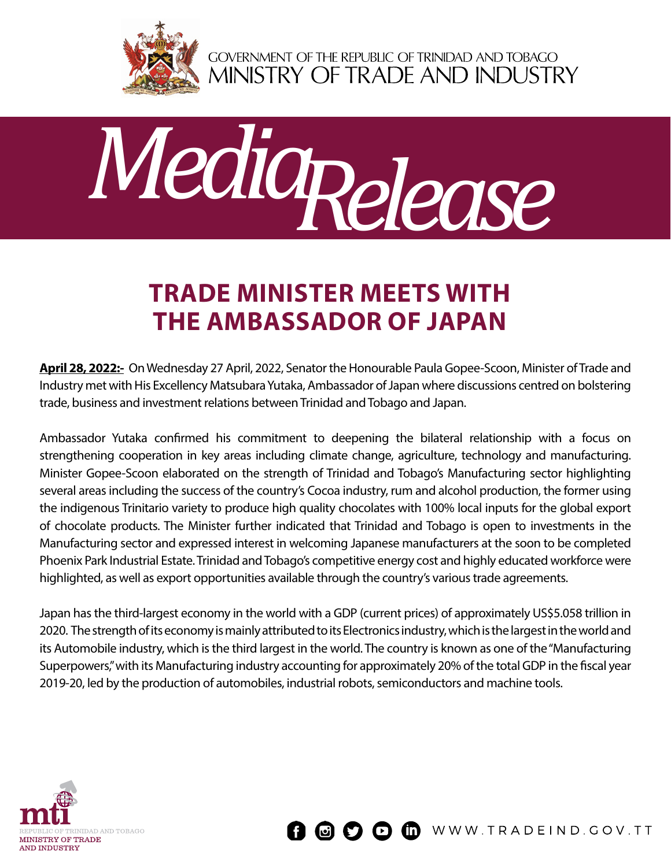

GOVERNMENT OF THE REPUBLIC OF TRINIDAD AND TOBAGO<br>MINISTRY OF TRADE AND INDUSTRY



## **Trade Minister meets with the Ambassador of Japan**

**April 28, 2022:-** On Wednesday 27 April, 2022, Senator the Honourable Paula Gopee-Scoon, Minister of Trade and Industry met with His Excellency Matsubara Yutaka, Ambassador of Japan where discussions centred on bolstering trade, business and investment relations between Trinidad and Tobago and Japan.

Ambassador Yutaka confirmed his commitment to deepening the bilateral relationship with a focus on strengthening cooperation in key areas including climate change, agriculture, technology and manufacturing. Minister Gopee-Scoon elaborated on the strength of Trinidad and Tobago's Manufacturing sector highlighting several areas including the success of the country's Cocoa industry, rum and alcohol production, the former using the indigenous Trinitario variety to produce high quality chocolates with 100% local inputs for the global export of chocolate products. The Minister further indicated that Trinidad and Tobago is open to investments in the Manufacturing sector and expressed interest in welcoming Japanese manufacturers at the soon to be completed Phoenix Park Industrial Estate. Trinidad and Tobago's competitive energy cost and highly educated workforce were highlighted, as well as export opportunities available through the country's various trade agreements.

Japan has the third-largest economy in the world with a GDP (current prices) of approximately US\$5.058 trillion in 2020. The strength of its economy is mainly attributed to its Electronics industry, which is the largest in the world and its Automobile industry, which is the third largest in the world. The country is known as one of the "Manufacturing Superpowers," with its Manufacturing industry accounting for approximately 20% of the total GDP in the fiscal year 2019-20, led by the production of automobiles, industrial robots, semiconductors and machine tools.